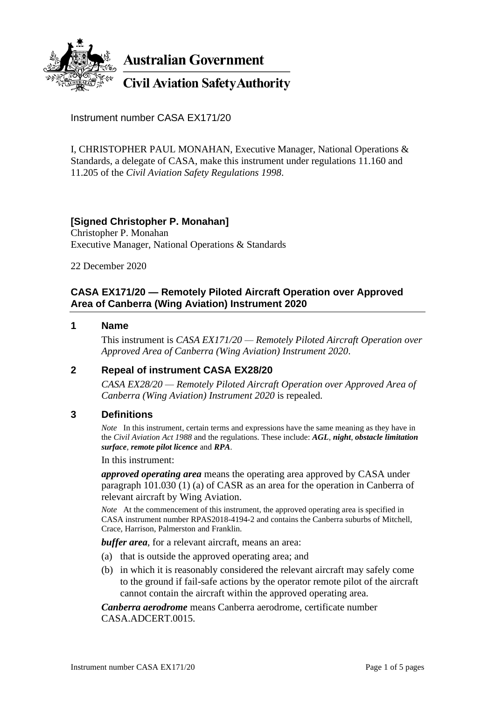

**Australian Government** 

**Civil Aviation Safety Authority** 

Instrument number CASA EX171/20

I, CHRISTOPHER PAUL MONAHAN, Executive Manager, National Operations & Standards, a delegate of CASA, make this instrument under regulations 11.160 and 11.205 of the *Civil Aviation Safety Regulations 1998*.

# **[Signed Christopher P. Monahan]**

Christopher P. Monahan Executive Manager, National Operations & Standards

22 December 2020

## **CASA EX171/20 — Remotely Piloted Aircraft Operation over Approved Area of Canberra (Wing Aviation) Instrument 2020**

### **1 Name**

This instrument is *CASA EX171/20 — Remotely Piloted Aircraft Operation over Approved Area of Canberra (Wing Aviation) Instrument 2020*.

## **2 Repeal of instrument CASA EX28/20**

*CASA EX28/20 — Remotely Piloted Aircraft Operation over Approved Area of Canberra (Wing Aviation) Instrument 2020* is repealed.

### **3 Definitions**

*Note* In this instrument, certain terms and expressions have the same meaning as they have in the *Civil Aviation Act 1988* and the regulations. These include: *AGL*, *night*, *obstacle limitation surface*, *remote pilot licence* and *RPA*.

In this instrument:

*approved operating area* means the operating area approved by CASA under paragraph 101.030 (1) (a) of CASR as an area for the operation in Canberra of relevant aircraft by Wing Aviation.

*Note* At the commencement of this instrument, the approved operating area is specified in CASA instrument number RPAS2018-4194-2 and contains the Canberra suburbs of Mitchell, Crace, Harrison, Palmerston and Franklin.

*buffer area*, for a relevant aircraft, means an area:

- (a) that is outside the approved operating area; and
- (b) in which it is reasonably considered the relevant aircraft may safely come to the ground if fail-safe actions by the operator remote pilot of the aircraft cannot contain the aircraft within the approved operating area.

*Canberra aerodrome* means Canberra aerodrome, certificate number CASA.ADCERT.0015.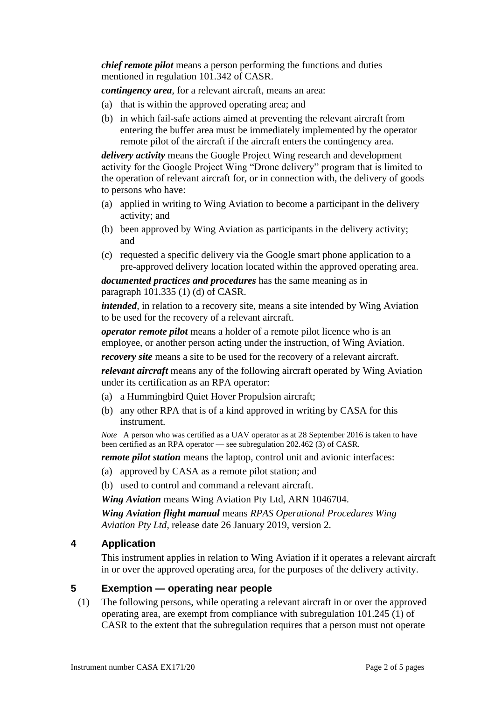*chief remote pilot* means a person performing the functions and duties mentioned in regulation 101.342 of CASR.

*contingency area*, for a relevant aircraft, means an area:

- (a) that is within the approved operating area; and
- (b) in which fail-safe actions aimed at preventing the relevant aircraft from entering the buffer area must be immediately implemented by the operator remote pilot of the aircraft if the aircraft enters the contingency area.

*delivery activity* means the Google Project Wing research and development activity for the Google Project Wing "Drone delivery" program that is limited to the operation of relevant aircraft for, or in connection with, the delivery of goods to persons who have:

- (a) applied in writing to Wing Aviation to become a participant in the delivery activity; and
- (b) been approved by Wing Aviation as participants in the delivery activity; and
- (c) requested a specific delivery via the Google smart phone application to a pre-approved delivery location located within the approved operating area.

*documented practices and procedures* has the same meaning as in paragraph 101.335 (1) (d) of CASR.

*intended*, in relation to a recovery site, means a site intended by Wing Aviation to be used for the recovery of a relevant aircraft.

*operator remote pilot* means a holder of a remote pilot licence who is an employee, or another person acting under the instruction, of Wing Aviation.

*recovery site* means a site to be used for the recovery of a relevant aircraft.

*relevant aircraft* means any of the following aircraft operated by Wing Aviation under its certification as an RPA operator:

- (a) a Hummingbird Quiet Hover Propulsion aircraft;
- (b) any other RPA that is of a kind approved in writing by CASA for this instrument.

*Note* A person who was certified as a UAV operator as at 28 September 2016 is taken to have been certified as an RPA operator — see subregulation 202.462 (3) of CASR.

*remote pilot station* means the laptop, control unit and avionic interfaces:

- (a) approved by CASA as a remote pilot station; and
- (b) used to control and command a relevant aircraft.

*Wing Aviation* means Wing Aviation Pty Ltd, ARN 1046704.

*Wing Aviation flight manual* means *RPAS Operational Procedures Wing Aviation Pty Ltd*, release date 26 January 2019, version 2.

## **4 Application**

This instrument applies in relation to Wing Aviation if it operates a relevant aircraft in or over the approved operating area, for the purposes of the delivery activity.

## **5 Exemption — operating near people**

(1) The following persons, while operating a relevant aircraft in or over the approved operating area, are exempt from compliance with subregulation 101.245 (1) of CASR to the extent that the subregulation requires that a person must not operate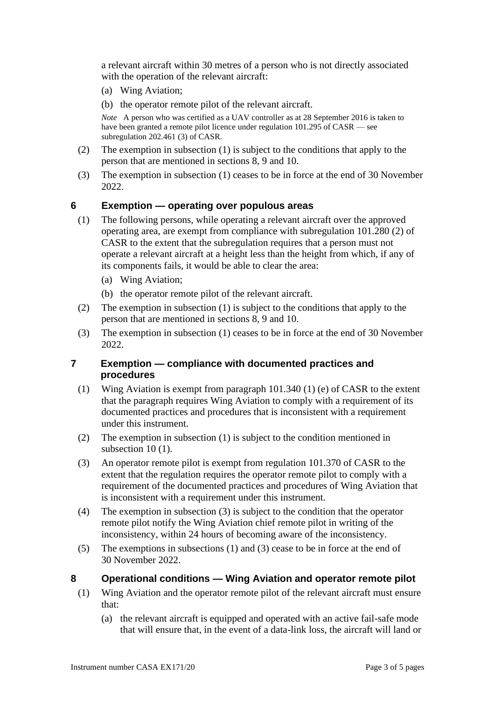a relevant aircraft within 30 metres of a person who is not directly associated with the operation of the relevant aircraft:

- (a) Wing Aviation;
- (b) the operator remote pilot of the relevant aircraft.

*Note* A person who was certified as a UAV controller as at 28 September 2016 is taken to have been granted a remote pilot licence under regulation 101.295 of CASR — see subregulation 202.461 (3) of CASR.

- (2) The exemption in subsection (1) is subject to the conditions that apply to the person that are mentioned in sections 8, 9 and 10.
- (3) The exemption in subsection (1) ceases to be in force at the end of 30 November 2022.

### **6 Exemption — operating over populous areas**

- (1) The following persons, while operating a relevant aircraft over the approved operating area, are exempt from compliance with subregulation 101.280 (2) of CASR to the extent that the subregulation requires that a person must not operate a relevant aircraft at a height less than the height from which, if any of its components fails, it would be able to clear the area:
	- (a) Wing Aviation;
	- (b) the operator remote pilot of the relevant aircraft.
- (2) The exemption in subsection (1) is subject to the conditions that apply to the person that are mentioned in sections 8, 9 and 10.
- (3) The exemption in subsection (1) ceases to be in force at the end of 30 November 2022.

### **7 Exemption — compliance with documented practices and procedures**

- (1) Wing Aviation is exempt from paragraph 101.340 (1) (e) of CASR to the extent that the paragraph requires Wing Aviation to comply with a requirement of its documented practices and procedures that is inconsistent with a requirement under this instrument.
- (2) The exemption in subsection (1) is subject to the condition mentioned in subsection 10 (1).
- (3) An operator remote pilot is exempt from regulation 101.370 of CASR to the extent that the regulation requires the operator remote pilot to comply with a requirement of the documented practices and procedures of Wing Aviation that is inconsistent with a requirement under this instrument.
- (4) The exemption in subsection (3) is subject to the condition that the operator remote pilot notify the Wing Aviation chief remote pilot in writing of the inconsistency, within 24 hours of becoming aware of the inconsistency.
- (5) The exemptions in subsections (1) and (3) cease to be in force at the end of 30 November 2022.

### **8 Operational conditions — Wing Aviation and operator remote pilot**

- (1) Wing Aviation and the operator remote pilot of the relevant aircraft must ensure that:
	- (a) the relevant aircraft is equipped and operated with an active fail-safe mode that will ensure that, in the event of a data-link loss, the aircraft will land or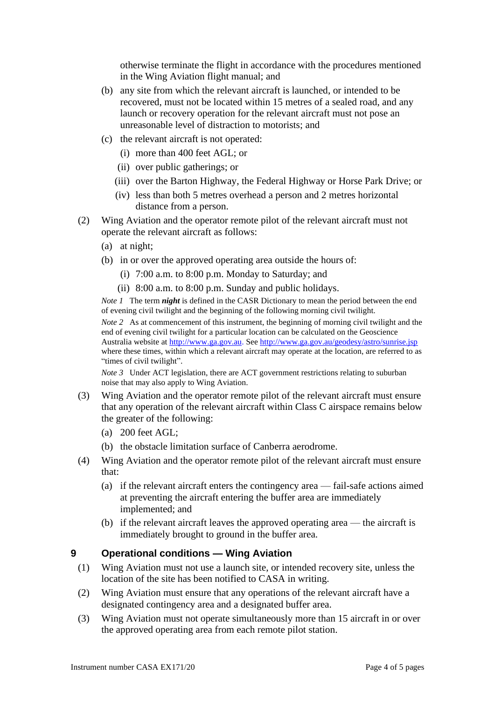otherwise terminate the flight in accordance with the procedures mentioned in the Wing Aviation flight manual; and

- (b) any site from which the relevant aircraft is launched, or intended to be recovered, must not be located within 15 metres of a sealed road, and any launch or recovery operation for the relevant aircraft must not pose an unreasonable level of distraction to motorists; and
- (c) the relevant aircraft is not operated:
	- (i) more than 400 feet AGL; or
	- (ii) over public gatherings; or
	- (iii) over the Barton Highway, the Federal Highway or Horse Park Drive; or
	- (iv) less than both 5 metres overhead a person and 2 metres horizontal distance from a person.
- (2) Wing Aviation and the operator remote pilot of the relevant aircraft must not operate the relevant aircraft as follows:
	- (a) at night;
	- (b) in or over the approved operating area outside the hours of:
		- (i) 7:00 a.m. to 8:00 p.m. Monday to Saturday; and
		- (ii) 8:00 a.m. to 8:00 p.m. Sunday and public holidays.

*Note 1* The term *night* is defined in the CASR Dictionary to mean the period between the end of evening civil twilight and the beginning of the following morning civil twilight.

*Note* 2 As at commencement of this instrument, the beginning of morning civil twilight and the end of evening civil twilight for a particular location can be calculated on the Geoscience Australia website at [http://www.ga.gov.au.](http://www.ga.gov.au/) See <http://www.ga.gov.au/geodesy/astro/sunrise.jsp> where these times, within which a relevant aircraft may operate at the location, are referred to as "times of civil twilight".

*Note 3* Under ACT legislation, there are ACT government restrictions relating to suburban noise that may also apply to Wing Aviation.

- (3) Wing Aviation and the operator remote pilot of the relevant aircraft must ensure that any operation of the relevant aircraft within Class C airspace remains below the greater of the following:
	- (a) 200 feet AGL;
	- (b) the obstacle limitation surface of Canberra aerodrome.
- (4) Wing Aviation and the operator remote pilot of the relevant aircraft must ensure that:
	- (a) if the relevant aircraft enters the contingency area fail-safe actions aimed at preventing the aircraft entering the buffer area are immediately implemented; and
	- (b) if the relevant aircraft leaves the approved operating area the aircraft is immediately brought to ground in the buffer area.

## **9 Operational conditions — Wing Aviation**

- (1) Wing Aviation must not use a launch site, or intended recovery site, unless the location of the site has been notified to CASA in writing.
- (2) Wing Aviation must ensure that any operations of the relevant aircraft have a designated contingency area and a designated buffer area.
- (3) Wing Aviation must not operate simultaneously more than 15 aircraft in or over the approved operating area from each remote pilot station.